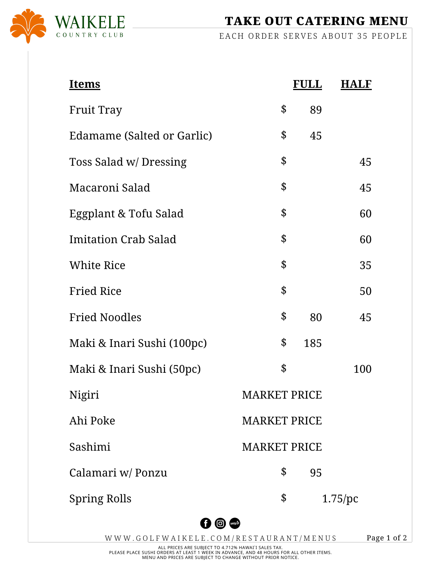

TAKE OUT CATERING MENU

EACH ORDER SERVES ABOUT 35 PEOPLE

| <u>Items</u>                |                     | <b>FULL</b> | <b>HALF</b> |  |  |
|-----------------------------|---------------------|-------------|-------------|--|--|
| <b>Fruit Tray</b>           | \$                  | 89          |             |  |  |
| Edamame (Salted or Garlic)  | \$                  | 45          |             |  |  |
| Toss Salad w/ Dressing      | \$                  |             | 45          |  |  |
| Macaroni Salad              | \$                  |             | 45          |  |  |
| Eggplant & Tofu Salad       | \$                  |             | 60          |  |  |
| <b>Imitation Crab Salad</b> | \$                  |             | 60          |  |  |
| <b>White Rice</b>           | \$                  |             | 35          |  |  |
| <b>Fried Rice</b>           | \$                  |             | 50          |  |  |
| <b>Fried Noodles</b>        | \$                  | 80          | 45          |  |  |
| Maki & Inari Sushi (100pc)  | \$                  | 185         |             |  |  |
| Maki & Inari Sushi (50pc)   | \$                  |             | 100         |  |  |
| Nigiri                      | <b>MARKET PRICE</b> |             |             |  |  |
| Ahi Poke                    | <b>MARKET PRICE</b> |             |             |  |  |
| Sashimi                     | <b>MARKET PRICE</b> |             |             |  |  |
| Calamari w/ Ponzu           | \$                  | 95          |             |  |  |
| <b>Spring Rolls</b>         | \$                  |             | $1.75$ /pc  |  |  |
| 0 <sup>o</sup>              |                     |             |             |  |  |

W W W . GOLF W A I K E L E . COM / R E S T A U R A N T / M E N U S

Page 1 of 2